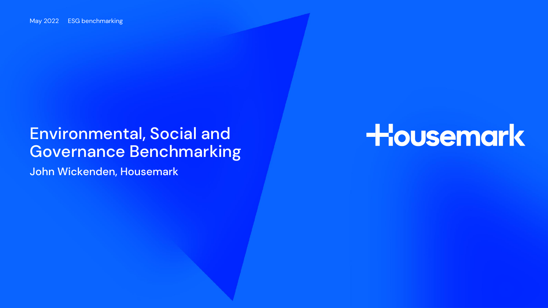### Environmental, Social and Governance Benchmarking

John Wickenden, Housemark

# Housemark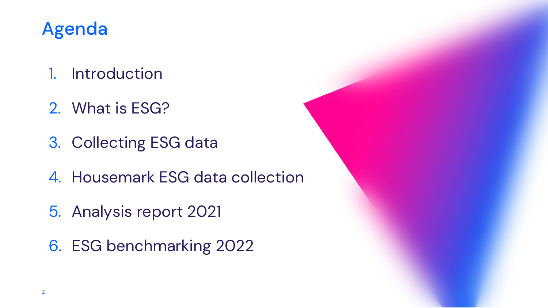### Agenda

- 1. Introduction
- 2. What is ESG?
- 3. Collecting ESG data
- 4. Housemark ESG data collection
- 5. Analysis report 2021
- 6. ESG benchmarking 2022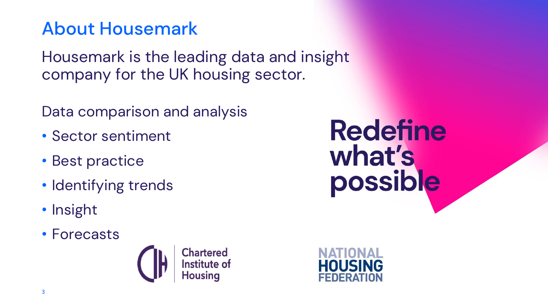### About Housemark

Housemark is the leading data and insight company for the UK housing sector.

Data comparison and analysis

- Sector sentiment
- Best practice
- Identifying trends
- Insight
- Forecasts



**Redefine** what's<br>possible

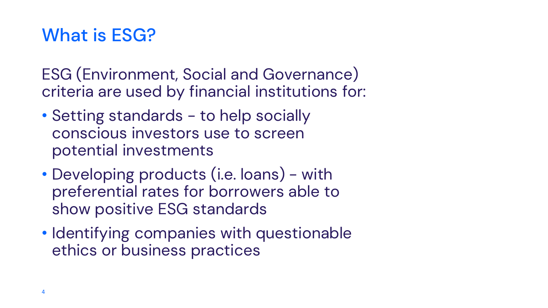### What is ESG?

ESG (Environment, Social and Governance) criteria are used by financial institutions for:

- Setting standards to help socially conscious investors use to screen potential investments
- Developing products (i.e. loans) with preferential rates for borrowers able to show positive ESG standards
- Identifying companies with questionable ethics or business practices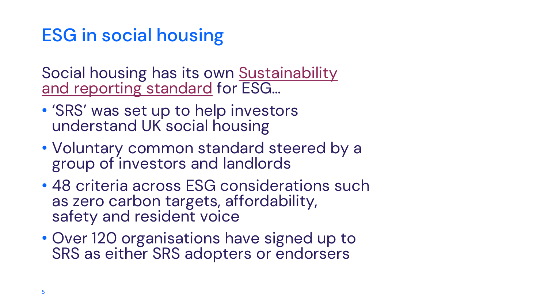### ESG in social housing

[Social housing has its own Sustainability](https://esgsocialhousing.co.uk/)  and reporting standard for ESG…

- 'SRS' was set up to help investors understand UK social housing
- Voluntary common standard steered by a group of investors and landlords
- 48 criteria across ESG considerations such as zero carbon targets, affordability, safety and resident voice
- Over 120 organisations have signed up to SRS as either SRS adopters or endorsers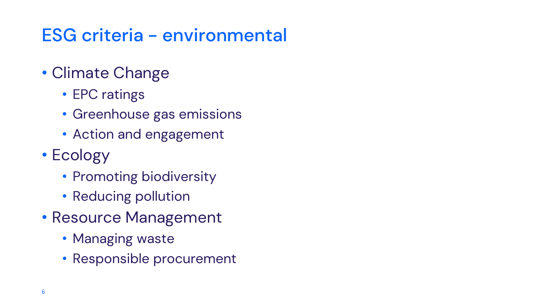# ESG criteria - environmental

### • Climate Change

- EPC ratings
- Greenhouse gas emissions
- Action and engagement

### • Ecology

- Promoting biodiversity
- Reducing pollution
- Resource Management
	- Managing waste
	- Responsible procurement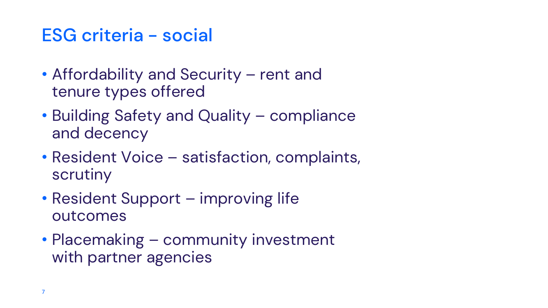### ESG criteria - social

- Affordability and Security rent and tenure types offered
- Building Safety and Quality compliance and decency
- Resident Voice satisfaction, complaints, scrutiny
- Resident Support improving life outcomes
- Placemaking community investment with partner agencies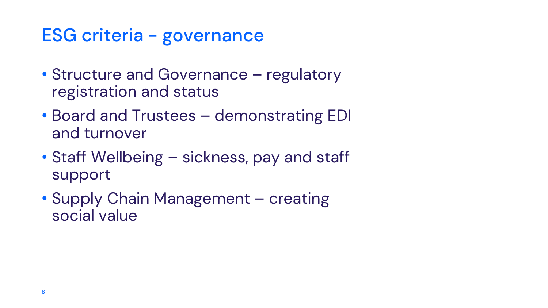### ESG criteria - governance

- Structure and Governance regulatory registration and status
- Board and Trustees demonstrating EDI and turnover
- Staff Wellbeing sickness, pay and staff support
- Supply Chain Management creating social value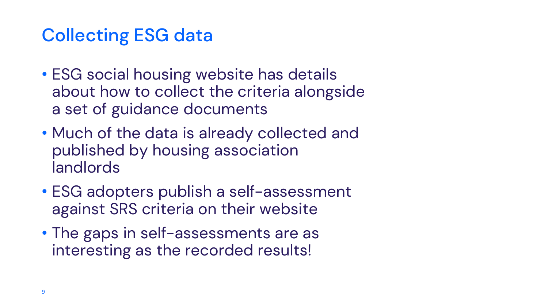### Collecting ESG data

- ESG social housing website has details about how to collect the criteria alongside a set of guidance documents
- Much of the data is already collected and published by housing association landlords
- ESG adopters publish a self-assessment against SRS criteria on their website
- The gaps in self-assessments are as interesting as the recorded results!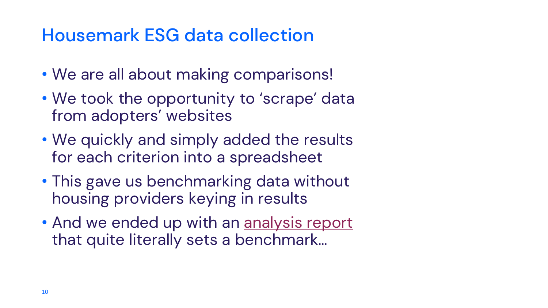### Housemark ESG data collection

- We are all about making comparisons!
- We took the opportunity to 'scrape' data from adopters' websites
- We quickly and simply added the results for each criterion into a spreadsheet
- This gave us benchmarking data without housing providers keying in results
- And we ended up with an [analysis report](https://www.housemark.co.uk/news/housemark-publishes-sectors-first-comparative-analysis-of-esg-data/) that quite literally sets a benchmark…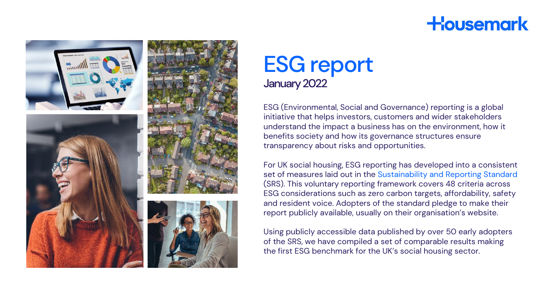### **Housemark**



### ESG report January 2022

ESG (Environmental, Social and Governance) reporting is a global initiative that helps investors, customers and wider stakeholders understand the impact a business has on the environment, how it benefits society and how its governance structures ensure transparency about risks and opportunities.

For UK social housing, ESG reporting has developed into a consistent set of measures laid out in the [Sustainability and Reporting Standard](https://esgsocialhousing.co.uk/)  (SRS). This voluntary reporting framework covers 48 criteria across ESG considerations such as zero carbon targets, affordability, safety and resident voice. Adopters of the standard pledge to make their report publicly available, usually on their organisation's website.

Using publicly accessible data published by over 50 early adopters of the SRS, we have compiled a set of comparable results making the first ESG benchmark for the UK's social housing sector.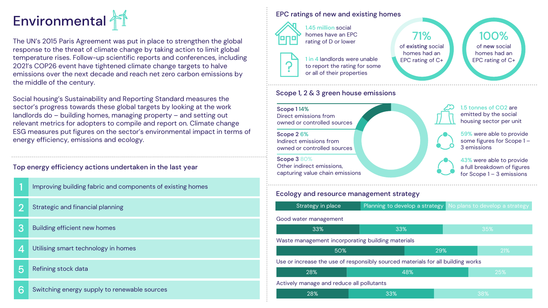

The UN's 2015 Paris Agreement was put in place to strengthen the global response to the threat of climate change by taking action to limit global temperature rises. Follow-up scientific reports and conferences, including 2021's COP26 event have tightened climate change targets to halve emissions over the next decade and reach net zero carbon emissions by the middle of the century.

Social housing's Sustainability and Reporting Standard measures the sector's progress towards these global targets by looking at the work landlords do – building homes, managing property – and setting out relevant metrics for adopters to compile and report on. Climate change ESG measures put figures on the sector's environmental impact in terms of energy efficiency, emissions and ecology.

#### Top energy efficiency actions undertaken in the last year

| Improving building fabric and components of existing homes |
|------------------------------------------------------------|
|------------------------------------------------------------|

- 2 Strategic and financial planning
- 3 Building efficient new homes
- 4 Utilising smart technology in homes
- 5 Refining stock data
- 6 Switching energy supply to renewable sources

#### EPC ratings of new and existing homes



1.45 million social homes have an EPC rating of D or lower

1 in 4 landlords were unable to report the rating for some or all of their properties

### 71% of existing social homes had an EPC rating of C+

100% of new social homes had an EPC rating of C+

#### Scope 1, 2 & 3 green house emissions



#### Ecology and resource management strategy

| Strategy in place                                                               |     | Planning to develop a strategy No plans to develop a strategy |  |            |  |
|---------------------------------------------------------------------------------|-----|---------------------------------------------------------------|--|------------|--|
| Good water management                                                           |     |                                                               |  |            |  |
| 33%                                                                             |     | 33%                                                           |  | 35%        |  |
| Waste management incorporating building materials                               |     |                                                               |  |            |  |
| 50%                                                                             |     | 29%                                                           |  | <b>21%</b> |  |
| Use or increase the use of responsibly sourced materials for all building works |     |                                                               |  |            |  |
| 28%                                                                             |     | 48%                                                           |  | 25%        |  |
| Actively manage and reduce all pollutants                                       |     |                                                               |  |            |  |
| 28%                                                                             | 33% |                                                               |  | 38%        |  |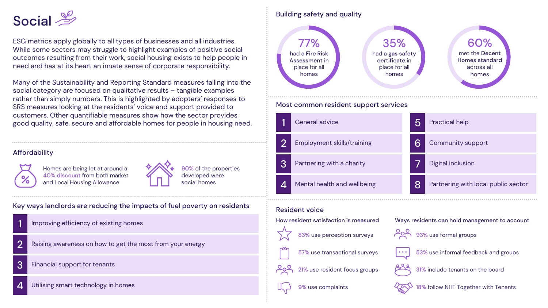### Social <u>&</u>

ESG metrics apply globally to all types of businesses and all industries. While some sectors may struggle to highlight examples of positive social outcomes resulting from their work, social housing exists to help people in need and has at its heart an innate sense of corporate responsibility.

Many of the Sustainability and Reporting Standard measures falling into the social category are focused on qualitative results – tangible examples rather than simply numbers. This is highlighted by adopters' responses to SRS measures looking at the residents' voice and support provided to customers. Other quantifiable measures show how the sector provides good quality, safe, secure and affordable homes for people in housing need.

#### **Affordability**



Homes are being let at around a 40% discount from both market and Local Housing Allowance



90% of the properties developed were social homes

Key ways landlords are reducing the impacts of fuel poverty on residents

- 1 Improving efficiency of existing homes
- 2 Raising awareness on how to get the most from your energy
- 3 Financial support for tenants
- 4 Utilising smart technology in homes

### Building safety and quality



#### Most common resident support services





57% use transactional surveys

21% use resident focus groups

9% use complaints

31% include tenants on the board

18% follow NHF Together with Tenants

53% use informal feedback and groups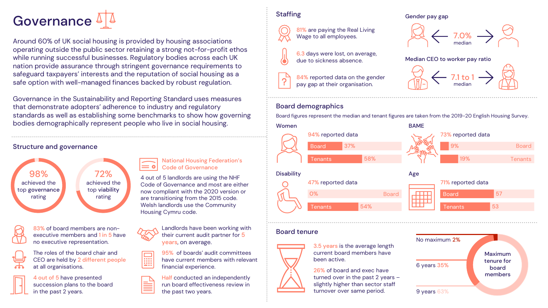

Around 60% of UK social housing is provided by housing associations operating outside the public sector retaining a strong not-for-profit ethos while running successful businesses. Regulatory bodies across each UK nation provide assurance through stringent governance requirements to safeguard taxpayers' interests and the reputation of social housing as a safe option with well-managed finances backed by robust regulation.

Governance in the Sustainability and Reporting Standard uses measures that demonstrate adopters' adherence to industry and regulatory standards as well as establishing some benchmarks to show how governing bodies demographically represent people who live in social housing.

#### Structure and governance

rating

98% achieved the top governance 72% achieved the top viability rating



83% of board members are nonexecutive members and 1 in 5 have no executive representation.



4 out of 5 have presented succession plans to the board in the past 2 years.



 $= 0$ 

years, on average. 95% of boards' audit committees 匾

Housing Cymru code.

have current members with relevant financial experience.

4 out of 5 landlords are using the NHF Code of Governance and most are either now compliant with the 2020 version or are transitioning from the 2015 code. Welsh landlords use the Community

Code of Governance

National Housing Federation's

Half conducted an independently run board effectiveness review in the past two years.

#### **Staffing**







84% reported data on the gender



median

Gender pay gap

pay gap at their organisation.

#### Board demographics

Board figures represent the median and tenant figures are taken from the 2019-20 English Housing Survey.



#### Board tenure





3.5 years is the average length current board members have been active.

26% of board and exec have turned over in the past 2 years – slightly higher than sector staff turnover over same period.

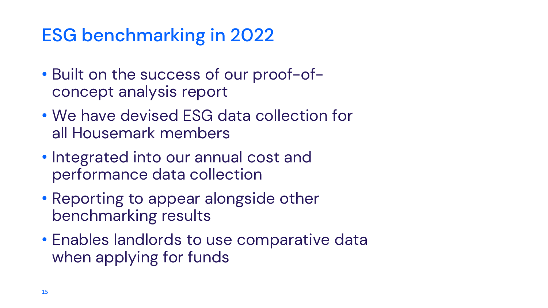## ESG benchmarking in 2022

- Built on the success of our proof-ofconcept analysis report
- We have devised ESG data collection for all Housemark members
- Integrated into our annual cost and performance data collection
- Reporting to appear alongside other benchmarking results
- Enables landlords to use comparative data when applying for funds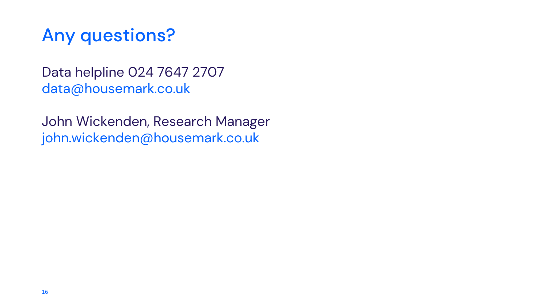### Any questions?

Data helpline 024 7647 2707 data@housemark.co.uk

John Wickenden, Research Manager john.wickenden@housemark.co.uk